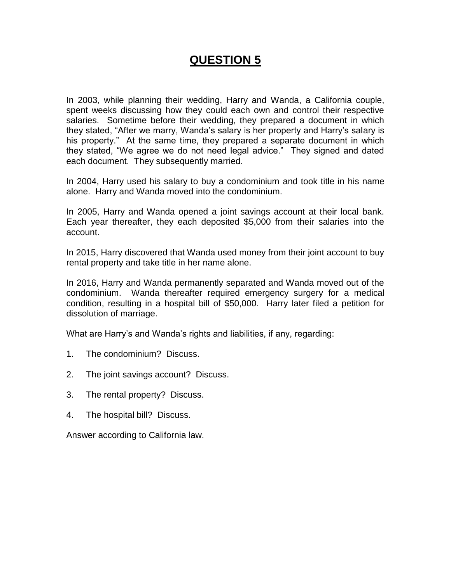# **QUESTION 5**

In 2003, while planning their wedding, Harry and Wanda, a California couple, spent weeks discussing how they could each own and control their respective salaries. Sometime before their wedding, they prepared a document in which they stated, "After we marry, Wanda's salary is her property and Harry's salary is his property." At the same time, they prepared a separate document in which they stated, "We agree we do not need legal advice." They signed and dated each document. They subsequently married.

In 2004, Harry used his salary to buy a condominium and took title in his name alone. Harry and Wanda moved into the condominium.

In 2005, Harry and Wanda opened a joint savings account at their local bank. Each year thereafter, they each deposited \$5,000 from their salaries into the account.

In 2015, Harry discovered that Wanda used money from their joint account to buy rental property and take title in her name alone.

In 2016, Harry and Wanda permanently separated and Wanda moved out of the condominium. Wanda thereafter required emergency surgery for a medical condition, resulting in a hospital bill of \$50,000. Harry later filed a petition for dissolution of marriage.

What are Harry's and Wanda's rights and liabilities, if any, regarding:

- 1. The condominium? Discuss.
- 2. The joint savings account? Discuss.
- 3. The rental property? Discuss.
- 4. The hospital bill? Discuss.

Answer according to California law.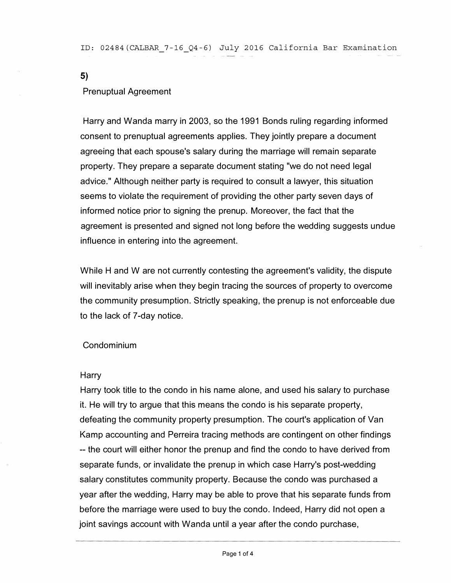ID: 02484(CALBAR\_7-16\_Q4-6) July 2016 California Bar Examination

**5)** 

#### Prenuptual Agreement

Harry and Wanda marry in 2003, so the 1991 Bonds ruling regarding informed consent to prenuptual agreements applies. They jointly prepare a document agreeing that each spouse's salary during the marriage will remain separate property. They prepare a separate document stating "we do not need legal advice." Although neither party is required to consult a lawyer, this situation seems to violate the requirement of providing the other party seven days of informed notice prior to signing the prenup. Moreover, the fact that the agreement is presented and signed not long before the wedding suggests undue influence in entering into the agreement.

While H and W are not currently contesting the agreement's validity, the dispute will inevitably arise when they begin tracing the sources of property to overcome the community presumption. Strictly speaking, the prenup is not enforceable due to the lack of 7-day notice.

## Condominium

#### Harry

Harry took title to the condo in his name alone, and used his salary to purchase it. He will try to argue that this means the condo is his separate property, defeating the community property presumption. The court's application of Van Kamp accounting and Perreira tracing methods are contingent on other findings -- the court will either honor the prenup and find the condo to have derived from separate funds, or invalidate the prenup in which case Harry's post-wedding salary constitutes community property. Because the condo was purchased a year after the wedding, Harry may be able to prove that his separate funds from before the marriage were used to buy the condo. Indeed, Harry did not open a joint savings account with Wanda until a year after the condo purchase,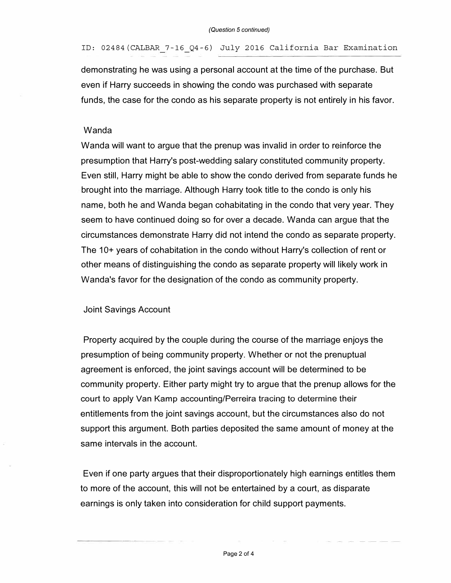ID: 02484(CALBAR 7-16\_Q4-6) July 2016 California Bar Examination

demonstrating he was using a personal account at the time of the purchase. But even if Harry succeeds in showing the condo was purchased with separate funds, the case for the condo as his separate property is not entirely in his favor.

## Wanda

Wanda will want to argue that the prenup was invalid in order to reinforce the presumption that Harry's post-wedding salary constituted community property. Even still, Harry might be able to show the condo derived from separate funds he brought into the marriage. Although Harry took title to the condo is only his name, both he and Wanda began cohabitating in the condo that very year. They seem to have continued doing so for over a decade. Wanda can argue that the circumstances demonstrate Harry did not intend the condo as separate property. The 10+ years of cohabitation in the condo without Harry's collection of rent or other means of distinguishing the condo as separate property will likely work in Wanda's favor for the designation of the condo as community property.

#### Joint Savings Account

Property acquired by the couple during the course of the marriage enjoys the presumption of being community property. Whether or not the prenuptual agreement is enforced, the joint savings account will be determined to be community property. Either party might try to argue that the prenup allows for the court to apply Van Kamp accounting/Perreira tracing to determine their entitlements from the joint savings account, but the circumstances also do not support this argument. Both parties deposited the same amount of money at the same intervals in the account.

Even if one party argues that their disproportionately high earnings entitles them to more of the account, this will not be entertained by a court, as disparate earnings is only taken into consideration for child support payments.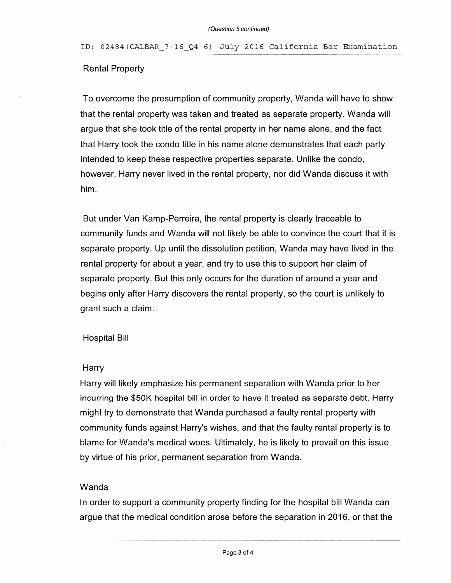ID: 02484(CALBAR\_7-16\_Q4-6) July 2016 California Bar Examination

# Rental Property

To overcome the presumption of community property, Wanda will have to show that the rental property was taken and treated as separate property. Wanda will argue that she took title of the rental property in her name alone, and the fact that Harry took the condo title in his name alone demonstrates that each party intended to keep these respective properties separate. Unlike the condo, however, Harry never lived in the rental property, nor did Wanda discuss it with him.

But under Van Kamp-Perreira, the rental property is clearly traceable to community funds and Wanda will not likely be able to convince the court that it is separate property. Up until the dissolution petition, Wanda may have lived in the rental property for about a year, and try to use this to support her claim of separate property. But this only occurs for the duration of around a year and begins only after Harry discovers the rental property, so the court is unlikely to grant such a claim.

## Hospital Bill

#### **Harry**

Harry will likely emphasize his permanent separation with Wanda prior to her incurring the \$50K hospital bill in order to have it treated as separate debt. Harry might try to demonstrate that Wanda purchased a faulty rental property with community funds against Harry's wishes, and that the faulty rental property is to blame for Wanda's medical woes. Ultimately, he is likely to prevail on this issue by virtue of his prior, permanent separation from Wanda.

#### Wanda

In order to support a community property finding for the hospital bill Wanda can argue that the medical condition arose before the separation in 2016, or that the